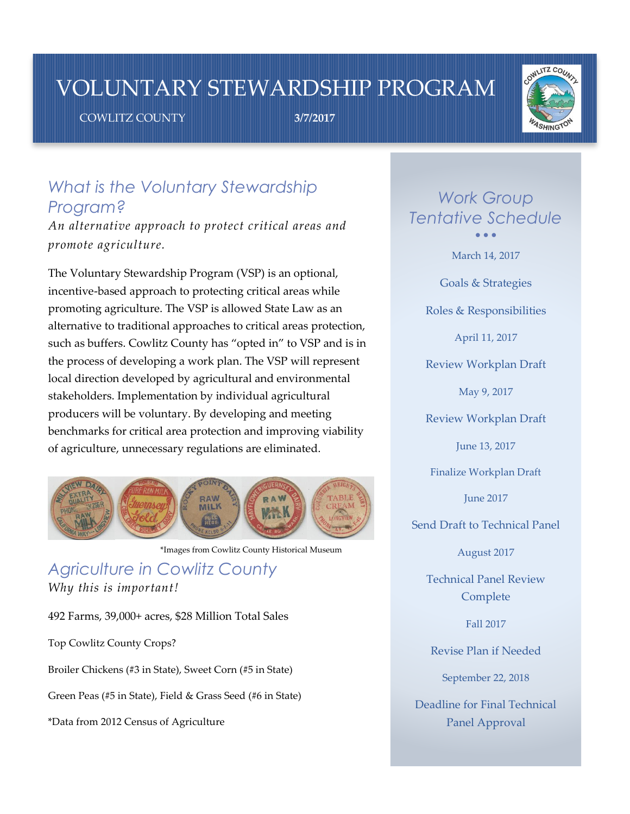## VOLUNTARY STEWARDSHIP PROGRAM

COWLITZ COUNTY **3/7/2017**



## *What is the Voluntary Stewardship Program?*

*An alternative approach to protect critical areas and promote agriculture.*

The Voluntary Stewardship Program (VSP) is an optional, incentive-based approach to protecting critical areas while promoting agriculture. The VSP is allowed State Law as an alternative to traditional approaches to critical areas protection, such as buffers. Cowlitz County has "opted in" to VSP and is in the process of developing a work plan. The VSP will represent local direction developed by agricultural and environmental stakeholders. Implementation by individual agricultural producers will be voluntary. By developing and meeting benchmarks for critical area protection and improving viability of agriculture, unnecessary regulations are eliminated.



\*Images from Cowlitz County Historical Museum

*Agriculture in Cowlitz County Why this is important!*

492 Farms, 39,000+ acres, \$28 Million Total Sales

Top Cowlitz County Crops?

Broiler Chickens (#3 in State), Sweet Corn (#5 in State)

Green Peas (#5 in State), Field & Grass Seed (#6 in State)

\*Data from 2012 Census of Agriculture

*Work Group Tentative Schedule*  $\bullet$   $\bullet$   $\bullet$ 

March 14, 2017

Goals & Strategies

Roles & Responsibilities

April 11, 2017

Review Workplan Draft

May 9, 2017

Review Workplan Draft

June 13, 2017

Finalize Workplan Draft

June 2017

Send Draft to Technical Panel

August 2017

Technical Panel Review Complete

Fall 2017

Revise Plan if Needed

September 22, 2018

Deadline for Final Technical Panel Approval